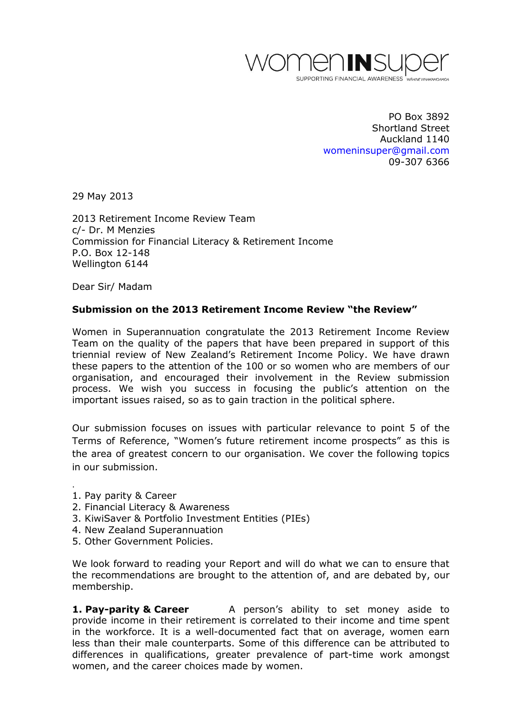

PO Box 3892 Shortland Street Auckland 1140 [womeninsuper@gmail.com](mailto:womeninsuper@gmail.com) 09-307 6366

29 May 2013

2013 Retirement Income Review Team c/- Dr. M Menzies Commission for Financial Literacy & Retirement Income P.O. Box 12-148 Wellington 6144

Dear Sir/ Madam

#### **Submission on the 2013 Retirement Income Review "the Review"**

Women in Superannuation congratulate the 2013 Retirement Income Review Team on the quality of the papers that have been prepared in support of this triennial review of New Zealand's Retirement Income Policy. We have drawn these papers to the attention of the 100 or so women who are members of our organisation, and encouraged their involvement in the Review submission process. We wish you success in focusing the public's attention on the important issues raised, so as to gain traction in the political sphere.

Our submission focuses on issues with particular relevance to point 5 of the Terms of Reference, "Women's future retirement income prospects" as this is the area of greatest concern to our organisation. We cover the following topics in our submission.

- . 1. Pay parity & Career
- 2. Financial Literacy & Awareness
- 3. KiwiSaver & Portfolio Investment Entities (PIEs)
- 4. New Zealand Superannuation
- 5. Other Government Policies.

We look forward to reading your Report and will do what we can to ensure that the recommendations are brought to the attention of, and are debated by, our membership.

**1. Pay-parity & Career** A person's ability to set money aside to provide income in their retirement is correlated to their income and time spent in the workforce. It is a well-documented fact that on average, women earn less than their male counterparts. Some of this difference can be attributed to differences in qualifications, greater prevalence of part-time work amongst women, and the career choices made by women.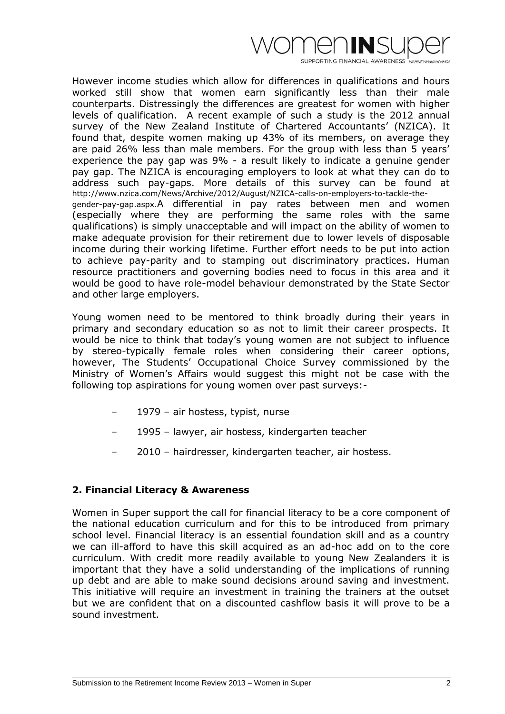# vomen**in**sl

SUPPORTING FINANCIAL AWARENESS

However income studies which allow for differences in qualifications and hours worked still show that women earn significantly less than their male counterparts. Distressingly the differences are greatest for women with higher levels of qualification. A recent example of such a study is the 2012 annual survey of the New Zealand Institute of Chartered Accountants' (NZICA). It found that, despite women making up 43% of its members, on average they are paid 26% less than male members. For the group with less than 5 years' experience the pay gap was 9% - a result likely to indicate a genuine gender pay gap. The NZICA is encouraging employers to look at what they can do to address such pay-gaps. More details of this survey can be found at http://www.nzica.com/News/Archive/2012/August/NZICA-calls-on-employers-to-tackle-thegender-pay-gap.aspx.A differential in pay rates between men and women (especially where they are performing the same roles with the same qualifications) is simply unacceptable and will impact on the ability of women to make adequate provision for their retirement due to lower levels of disposable income during their working lifetime. Further effort needs to be put into action to achieve pay-parity and to stamping out discriminatory practices. Human resource practitioners and governing bodies need to focus in this area and it would be good to have role-model behaviour demonstrated by the State Sector and other large employers.

Young women need to be mentored to think broadly during their years in primary and secondary education so as not to limit their career prospects. It would be nice to think that today's young women are not subject to influence by stereo-typically female roles when considering their career options, however, The Students' Occupational Choice Survey commissioned by the Ministry of Women's Affairs would suggest this might not be case with the following top aspirations for young women over past surveys:-

- 1979 air hostess, typist, nurse
- 1995 lawyer, air hostess, kindergarten teacher
- 2010 hairdresser, kindergarten teacher, air hostess.

## **2. Financial Literacy & Awareness**

Women in Super support the call for financial literacy to be a core component of the national education curriculum and for this to be introduced from primary school level. Financial literacy is an essential foundation skill and as a country we can ill-afford to have this skill acquired as an ad-hoc add on to the core curriculum. With credit more readily available to young New Zealanders it is important that they have a solid understanding of the implications of running up debt and are able to make sound decisions around saving and investment. This initiative will require an investment in training the trainers at the outset but we are confident that on a discounted cashflow basis it will prove to be a sound investment.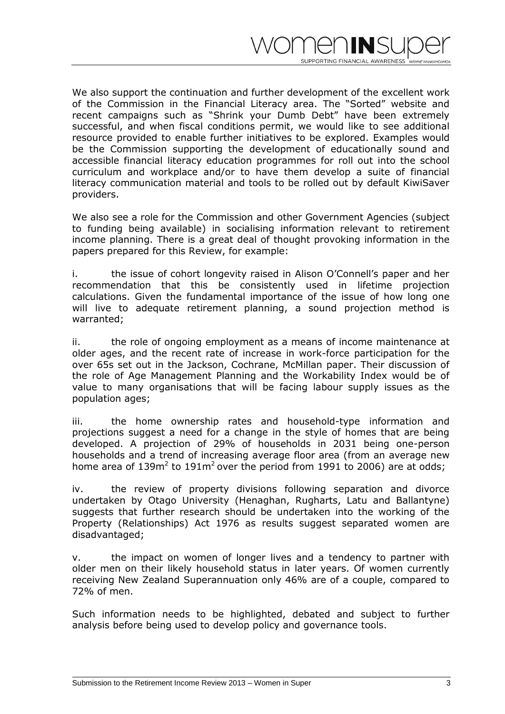

We also support the continuation and further development of the excellent work of the Commission in the Financial Literacy area. The "Sorted" website and recent campaigns such as "Shrink your Dumb Debt" have been extremely successful, and when fiscal conditions permit, we would like to see additional resource provided to enable further initiatives to be explored. Examples would be the Commission supporting the development of educationally sound and accessible financial literacy education programmes for roll out into the school curriculum and workplace and/or to have them develop a suite of financial literacy communication material and tools to be rolled out by default KiwiSaver providers.

We also see a role for the Commission and other Government Agencies (subject to funding being available) in socialising information relevant to retirement income planning. There is a great deal of thought provoking information in the papers prepared for this Review, for example:

i. the issue of cohort longevity raised in Alison O'Connell's paper and her recommendation that this be consistently used in lifetime projection calculations. Given the fundamental importance of the issue of how long one will live to adequate retirement planning, a sound projection method is warranted;

ii. the role of ongoing employment as a means of income maintenance at older ages, and the recent rate of increase in work-force participation for the over 65s set out in the Jackson, Cochrane, McMillan paper. Their discussion of the role of Age Management Planning and the Workability Index would be of value to many organisations that will be facing labour supply issues as the population ages;

iii. the home ownership rates and household-type information and projections suggest a need for a change in the style of homes that are being developed. A projection of 29% of households in 2031 being one-person households and a trend of increasing average floor area (from an average new home area of 139 $m^2$  to 191 $m^2$  over the period from 1991 to 2006) are at odds;

iv. the review of property divisions following separation and divorce undertaken by Otago University (Henaghan, Rugharts, Latu and Ballantyne) suggests that further research should be undertaken into the working of the Property (Relationships) Act 1976 as results suggest separated women are disadvantaged;

v. the impact on women of longer lives and a tendency to partner with older men on their likely household status in later years. Of women currently receiving New Zealand Superannuation only 46% are of a couple, compared to 72% of men.

Such information needs to be highlighted, debated and subject to further analysis before being used to develop policy and governance tools.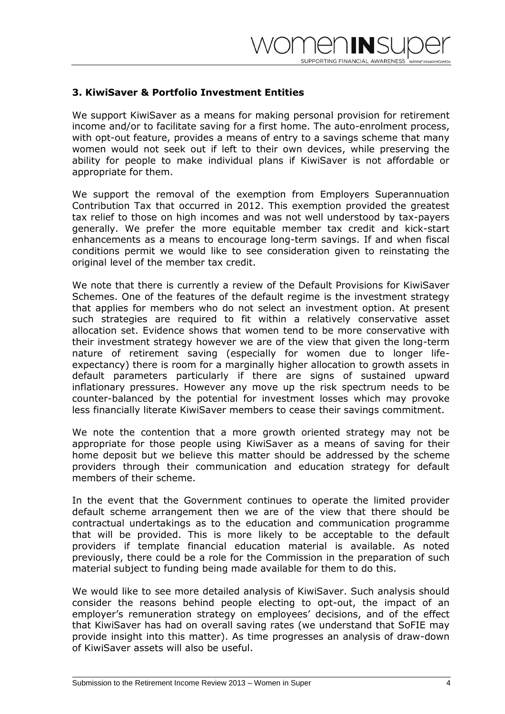### **3. KiwiSaver & Portfolio Investment Entities**

We support KiwiSaver as a means for making personal provision for retirement income and/or to facilitate saving for a first home. The auto-enrolment process, with opt-out feature, provides a means of entry to a savings scheme that many women would not seek out if left to their own devices, while preserving the ability for people to make individual plans if KiwiSaver is not affordable or appropriate for them.

We support the removal of the exemption from Employers Superannuation Contribution Tax that occurred in 2012. This exemption provided the greatest tax relief to those on high incomes and was not well understood by tax-payers generally. We prefer the more equitable member tax credit and kick-start enhancements as a means to encourage long-term savings. If and when fiscal conditions permit we would like to see consideration given to reinstating the original level of the member tax credit.

We note that there is currently a review of the Default Provisions for KiwiSaver Schemes. One of the features of the default regime is the investment strategy that applies for members who do not select an investment option. At present such strategies are required to fit within a relatively conservative asset allocation set. Evidence shows that women tend to be more conservative with their investment strategy however we are of the view that given the long-term nature of retirement saving (especially for women due to longer lifeexpectancy) there is room for a marginally higher allocation to growth assets in default parameters particularly if there are signs of sustained upward inflationary pressures. However any move up the risk spectrum needs to be counter-balanced by the potential for investment losses which may provoke less financially literate KiwiSaver members to cease their savings commitment.

We note the contention that a more growth oriented strategy may not be appropriate for those people using KiwiSaver as a means of saving for their home deposit but we believe this matter should be addressed by the scheme providers through their communication and education strategy for default members of their scheme.

In the event that the Government continues to operate the limited provider default scheme arrangement then we are of the view that there should be contractual undertakings as to the education and communication programme that will be provided. This is more likely to be acceptable to the default providers if template financial education material is available. As noted previously, there could be a role for the Commission in the preparation of such material subject to funding being made available for them to do this.

We would like to see more detailed analysis of KiwiSaver. Such analysis should consider the reasons behind people electing to opt-out, the impact of an employer's remuneration strategy on employees' decisions, and of the effect that KiwiSaver has had on overall saving rates (we understand that SoFIE may provide insight into this matter). As time progresses an analysis of draw-down of KiwiSaver assets will also be useful.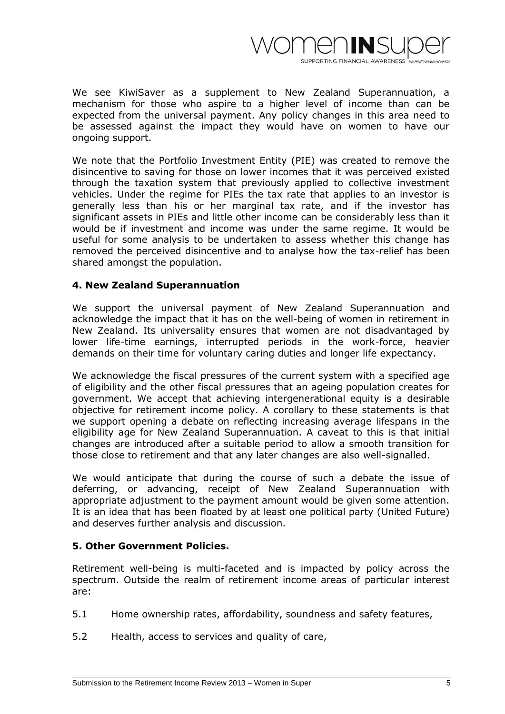We see KiwiSaver as a supplement to New Zealand Superannuation, a mechanism for those who aspire to a higher level of income than can be expected from the universal payment. Any policy changes in this area need to be assessed against the impact they would have on women to have our ongoing support.

menINSl

SUPPORTING FINANCIAL AWARENESS

We note that the Portfolio Investment Entity (PIE) was created to remove the disincentive to saving for those on lower incomes that it was perceived existed through the taxation system that previously applied to collective investment vehicles. Under the regime for PIEs the tax rate that applies to an investor is generally less than his or her marginal tax rate, and if the investor has significant assets in PIEs and little other income can be considerably less than it would be if investment and income was under the same regime. It would be useful for some analysis to be undertaken to assess whether this change has removed the perceived disincentive and to analyse how the tax-relief has been shared amongst the population.

#### **4. New Zealand Superannuation**

We support the universal payment of New Zealand Superannuation and acknowledge the impact that it has on the well-being of women in retirement in New Zealand. Its universality ensures that women are not disadvantaged by lower life-time earnings, interrupted periods in the work-force, heavier demands on their time for voluntary caring duties and longer life expectancy.

We acknowledge the fiscal pressures of the current system with a specified age of eligibility and the other fiscal pressures that an ageing population creates for government. We accept that achieving intergenerational equity is a desirable objective for retirement income policy. A corollary to these statements is that we support opening a debate on reflecting increasing average lifespans in the eligibility age for New Zealand Superannuation. A caveat to this is that initial changes are introduced after a suitable period to allow a smooth transition for those close to retirement and that any later changes are also well-signalled.

We would anticipate that during the course of such a debate the issue of deferring, or advancing, receipt of New Zealand Superannuation with appropriate adjustment to the payment amount would be given some attention. It is an idea that has been floated by at least one political party (United Future) and deserves further analysis and discussion.

### **5. Other Government Policies.**

Retirement well-being is multi-faceted and is impacted by policy across the spectrum. Outside the realm of retirement income areas of particular interest are:

- 5.1 Home ownership rates, affordability, soundness and safety features,
- 5.2 Health, access to services and quality of care,